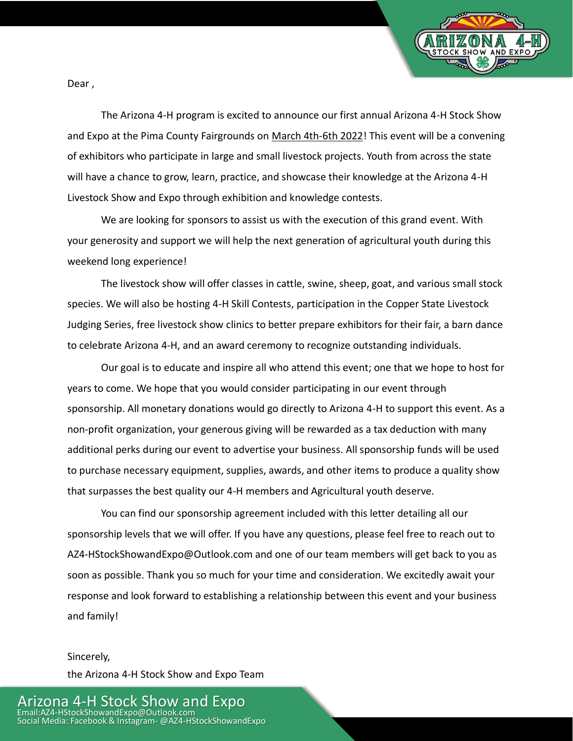

Dear ,

The Arizona 4-H program is excited to announce our first annual Arizona 4-H Stock Show and Expo at the Pima County Fairgrounds on March 4th-6th 2022! This event will be a convening of exhibitors who participate in large and small livestock projects. Youth from across the state will have a chance to grow, learn, practice, and showcase their knowledge at the Arizona 4-H Livestock Show and Expo through exhibition and knowledge contests.

We are looking for sponsors to assist us with the execution of this grand event. With your generosity and support we will help the next generation of agricultural youth during this weekend long experience!

The livestock show will offer classes in cattle, swine, sheep, goat, and various small stock species. We will also be hosting 4-H Skill Contests, participation in the Copper State Livestock Judging Series, free livestock show clinics to better prepare exhibitors for their fair, a barn dance to celebrate Arizona 4-H, and an award ceremony to recognize outstanding individuals.

Our goal is to educate and inspire all who attend this event; one that we hope to host for years to come. We hope that you would consider participating in our event through sponsorship. All monetary donations would go directly to Arizona 4-H to support this event. As a non-profit organization, your generous giving will be rewarded as a tax deduction with many additional perks during our event to advertise your business. All sponsorship funds will be used to purchase necessary equipment, supplies, awards, and other items to produce a quality show that surpasses the best quality our 4-H members and Agricultural youth deserve.

You can find our sponsorship agreement included with this letter detailing all our sponsorship levels that we will offer. If you have any questions, please feel free to reach out to AZ4-HStockShowandExpo@Outlook.com and one of our team members will get back to you as soon as possible. Thank you so much for your time and consideration. We excitedly await your response and look forward to establishing a relationship between this event and your business and family!

### Sincerely, the Arizona 4-H Stock Show and Expo Team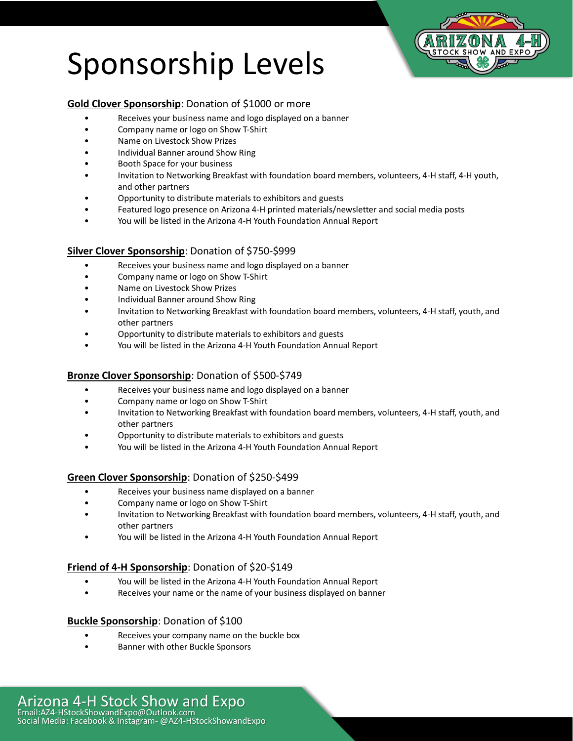# Sponsorship Levels



#### **Gold Clover Sponsorship**: Donation of \$1000 or more

- Receives your business name and logo displayed on a banner
- Company name or logo on Show T-Shirt
- Name on Livestock Show Prizes
- Individual Banner around Show Ring
- Booth Space for your business
- Invitation to Networking Breakfast with foundation board members, volunteers, 4-H staff, 4-H youth, and other partners
- Opportunity to distribute materials to exhibitors and guests
- Featured logo presence on Arizona 4-H printed materials/newsletter and social media posts
- You will be listed in the Arizona 4-H Youth Foundation Annual Report

#### **Silver Clover Sponsorship**: Donation of \$750-\$999

- Receives your business name and logo displayed on a banner
- Company name or logo on Show T-Shirt
- Name on Livestock Show Prizes
- Individual Banner around Show Ring
- Invitation to Networking Breakfast with foundation board members, volunteers, 4-H staff, youth, and other partners
- Opportunity to distribute materials to exhibitors and guests
- You will be listed in the Arizona 4-H Youth Foundation Annual Report

#### **Bronze Clover Sponsorship**: Donation of \$500-\$749

- Receives your business name and logo displayed on a banner
- Company name or logo on Show T-Shirt
- Invitation to Networking Breakfast with foundation board members, volunteers, 4-H staff, youth, and other partners
- Opportunity to distribute materials to exhibitors and guests
- You will be listed in the Arizona 4-H Youth Foundation Annual Report

#### **Green Clover Sponsorship**: Donation of \$250-\$499

- Receives your business name displayed on a banner
- Company name or logo on Show T-Shirt
- Invitation to Networking Breakfast with foundation board members, volunteers, 4-H staff, youth, and other partners
- You will be listed in the Arizona 4-H Youth Foundation Annual Report

#### **Friend of 4-H Sponsorship**: Donation of \$20-\$149

- You will be listed in the Arizona 4-H Youth Foundation Annual Report
- Receives your name or the name of your business displayed on banner

#### **Buckle Sponsorship**: Donation of \$100

- Receives your company name on the buckle box
- Banner with other Buckle Sponsors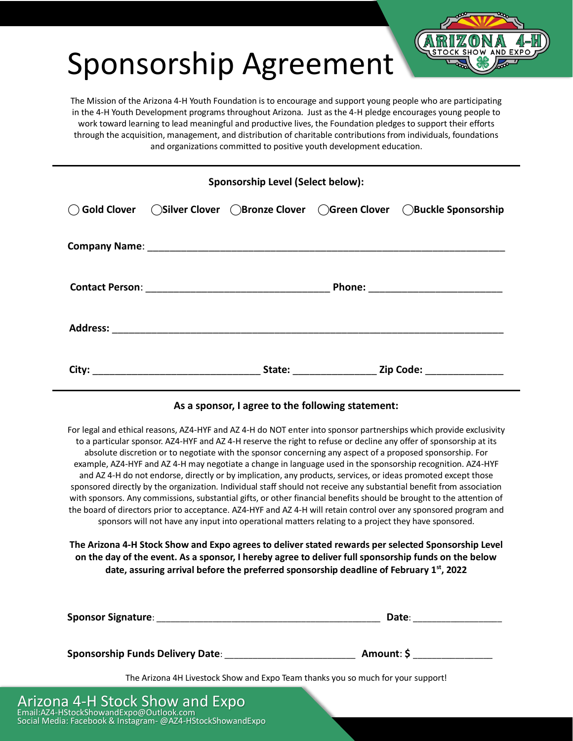# Sponsorship Agreement



The Mission of the Arizona 4-H Youth Foundation is to encourage and support young people who are participating in the 4-H Youth Development programs throughout Arizona. Just as the 4-H pledge encourages young people to work toward learning to lead meaningful and productive lives, the Foundation pledges to support their efforts through the acquisition, management, and distribution of charitable contributions from individuals, foundations and organizations committed to positive youth development education.

| Sponsorship Level (Select below): |  |  |  |                                                                                    |  |
|-----------------------------------|--|--|--|------------------------------------------------------------------------------------|--|
|                                   |  |  |  | ○ Gold Clover △ OSilver Clover △ Bronze Clover △ Green Clover △ Buckle Sponsorship |  |
|                                   |  |  |  |                                                                                    |  |
|                                   |  |  |  |                                                                                    |  |
|                                   |  |  |  |                                                                                    |  |
|                                   |  |  |  |                                                                                    |  |

#### **As a sponsor, I agree to the following statement:**

For legal and ethical reasons, AZ4-HYF and AZ 4-H do NOT enter into sponsor partnerships which provide exclusivity to a particular sponsor. AZ4-HYF and AZ 4-H reserve the right to refuse or decline any offer of sponsorship at its absolute discretion or to negotiate with the sponsor concerning any aspect of a proposed sponsorship. For example, AZ4-HYF and AZ 4-H may negotiate a change in language used in the sponsorship recognition. AZ4-HYF and AZ 4-H do not endorse, directly or by implication, any products, services, or ideas promoted except those sponsored directly by the organization. Individual staff should not receive any substantial benefit from association with sponsors. Any commissions, substantial gifts, or other financial benefits should be brought to the attention of the board of directors prior to acceptance. AZ4-HYF and AZ 4-H will retain control over any sponsored program and sponsors will not have any input into operational matters relating to a project they have sponsored.

**The Arizona 4-H Stock Show and Expo agrees to deliver stated rewards per selected Sponsorship Level on the day of the event. As a sponsor, I hereby agree to deliver full sponsorship funds on the below date, assuring arrival before the preferred sponsorship deadline of February 1st, 2022**

| <b>Sponsor Signature:</b>                                                        | Date:      |  |  |  |
|----------------------------------------------------------------------------------|------------|--|--|--|
| <b>Sponsorship Funds Delivery Date:</b>                                          | Amount: \$ |  |  |  |
| The Arizona 4H Livestock Show and Expo Team thanks you so much for your support! |            |  |  |  |
| Arizona 4-H Stock Show and Expo                                                  |            |  |  |  |

Email:AZ4-HStockShowandExpo@Outlook.com

Social Media: Facebook & Instagram- @AZ4-HStockShowandExpo